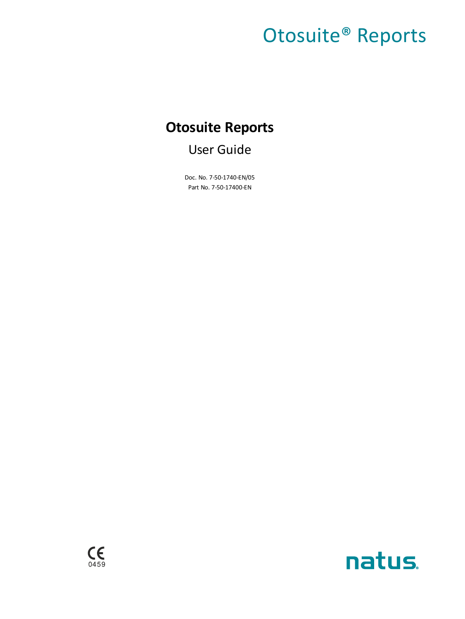# Otosuite® Reports

## **Otosuite Reports**

User Guide

Doc. No. 7-50-1740-EN/05 Part No. 7-50-17400-EN



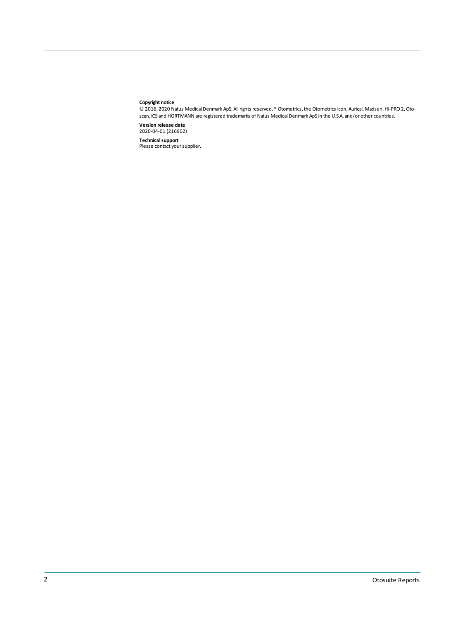#### **Copyright notice**

© 2016, 2020 Natus Medical Denmark ApS. Allrights reserved. ® Otometrics,the Otometrics Icon, Aurical, Madsen,HI-PRO 2,Otoscan, ICS and HORTMANN are registered trademarks of Natus Medical Denmark ApS in the U.S.A. and/or other countries.

**Version release date** 2020-04-01 (216902)

**Technical support**<br>Please contact your supplier.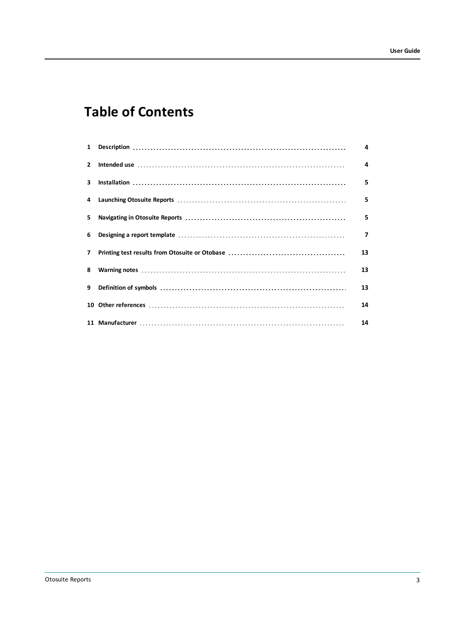## **Table of Contents**

|                |                                                                             | 4  |
|----------------|-----------------------------------------------------------------------------|----|
| $\overline{2}$ |                                                                             | 4  |
| 3              | $Instantation 1 1 1 1 1 1 1 1 1 1 1 1 1 1 1 1 1 1 1 1 1 1 1 1 1 1 1 1 1 1 $ | 5  |
|                |                                                                             | 5  |
| 5.             |                                                                             | 5  |
| 6              |                                                                             | 7  |
| $\overline{7}$ |                                                                             | 13 |
| 8              |                                                                             | 13 |
| 9              |                                                                             | 13 |
|                |                                                                             | 14 |
|                |                                                                             | 14 |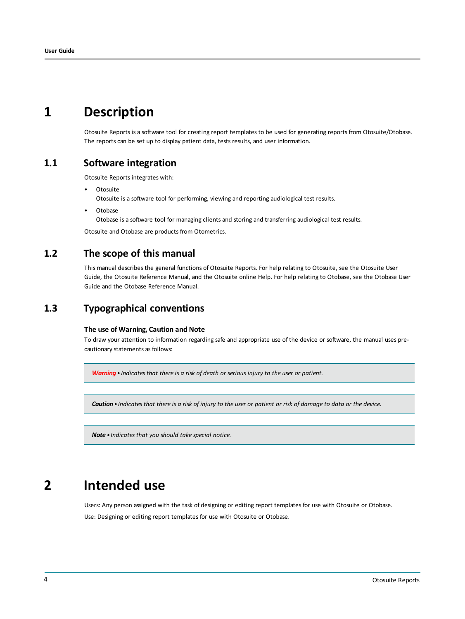## **1 Description**

<span id="page-3-0"></span>Otosuite Reports is a software tool for creating report templates to be used for generating reports from Otosuite/Otobase. The reports can be set up to display patient data, tests results, and user information.

### **1.1 Software integration**

Otosuite Reports integrates with:

**Otosuite** 

Otosuite is a software tool for performing, viewing and reporting audiological test results.

**Otobase** 

Otobase is a software tool for managing clients and storing and transferring audiological test results.

Otosuite and Otobase are products from Otometrics.

## **1.2 The scope of this manual**

This manual describes the general functions of Otosuite Reports. For help relating to Otosuite, see the Otosuite User Guide, the Otosuite Reference Manual, and the Otosuite online Help. For help relating to Otobase, see the Otobase User Guide and the Otobase Reference Manual.

### **1.3 Typographical conventions**

#### **The use of Warning, Caution and Note**

To draw your attention to information regarding safe and appropriate use of the device or software, the manual uses precautionary statements as follows:

*Warning• Indicates that there is a risk of death or serious injury to the user or patient.*

Caution • Indicates that there is a risk of injury to the user or patient or risk of damage to data or the device.

<span id="page-3-1"></span>*Note • Indicates that you should take special notice.*

## **2 Intended use**

Users: Any person assigned with the task of designing or editing report templates for use with Otosuite or Otobase. Use: Designing or editing report templates for use with Otosuite or Otobase.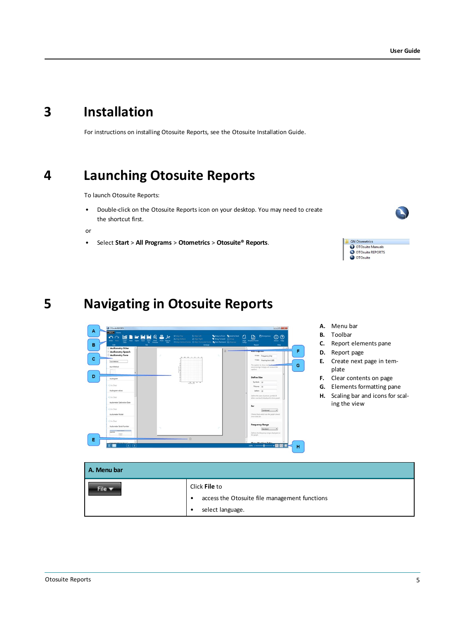## **3 Installation**

<span id="page-4-1"></span><span id="page-4-0"></span>For instructions on installing Otosuite Reports, see the Otosuite Installation Guide.

## **4 Launching Otosuite Reports**

To launch Otosuite Reports:

• Double-click on the Otosuite Reports icon on your desktop. You may need to create the shortcut first.

or

<span id="page-4-2"></span>• Select **Start** > **All Programs** > **Otometrics** > **Otosuite® Reports**.



## **5 Navigating in Otosuite Reports**



- **A.** Menu bar
- **B.** Toolbar
- **C.** Report elements pane

GN Otometrics<br>● OTOsuite Manuals<br>● OTOsuite REPORTS<br>● OTOsuite

- **D.** Report page
- **E.** Create next page in template
- **F.** Clear contents on page
- **G.** Elements formatting pane
- **H.** Scaling bar and icons for scaling the view

| A. Menu bar               |                                                                                                      |
|---------------------------|------------------------------------------------------------------------------------------------------|
| File $\blacktriangledown$ | Click File to<br>access the Otosuite file management functions<br>$\bullet$<br>select language.<br>٠ |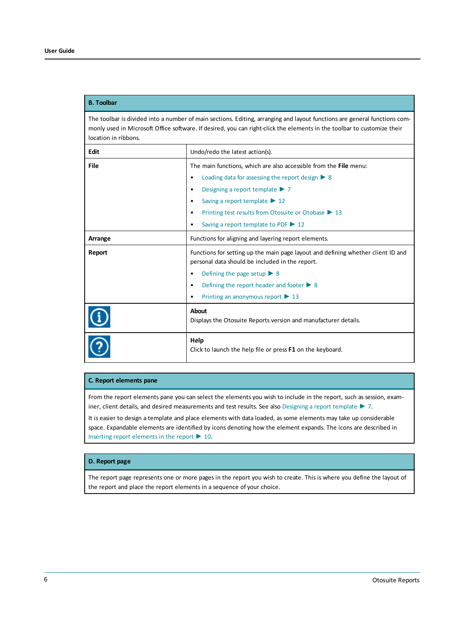#### **B. Toolbar**

The toolbar is divided into a number of main sections. Editing, arranging and layout functions are general functions commonly used in Microsoft Office software. If desired, you can right-click the elements in the toolbar to customize their location in ribbons.

| Edit    | Undo/redo the latest action(s).                                                                                                     |
|---------|-------------------------------------------------------------------------------------------------------------------------------------|
| File    | The main functions, which are also accessible from the File menu:                                                                   |
|         | Loading data for assessing the report design $\triangleright$ 8<br>٠                                                                |
|         | Designing a report template $\triangleright$ 7<br>٠                                                                                 |
|         | Saving a report template $\triangleright$ 12<br>٠                                                                                   |
|         | Printing test results from Otosuite or Otobase ▶ 13<br>٠                                                                            |
|         | Saving a report template to PDF $\triangleright$ 12<br>٠                                                                            |
| Arrange | Functions for aligning and layering report elements.                                                                                |
| Report  | Functions for setting up the main page layout and defining whether client ID and<br>personal data should be included in the report. |
|         | Defining the page setup $\triangleright$ 8<br>٠                                                                                     |
|         | Defining the report header and footer $\triangleright$ 8<br>٠                                                                       |
|         | Printing an anonymous report $\triangleright$ 13<br>٠                                                                               |
|         | <b>About</b><br>Displays the Otosuite Reports version and manufacturer details.                                                     |
|         | Help<br>Click to launch the help file or press <b>F1</b> on the keyboard.                                                           |

#### **C. Report elements pane**

From the report elements pane you can select the elements you wish to include in the report, such as session, examiner, client details, and desired measurements and test results. See also [Designing](#page-6-0) a report template ► 7.

It is easier to design a template and place elements with data loaded, as some elements may take up considerable space. Expandable elements are identified by icons denoting how the element expands. The icons are described in Inserting report [elements](#page-9-0) in the report  $\blacktriangleright$  10.

#### **D. Report page**

The report page represents one or more pages in the report you wish to create. This is where you define the layout of the report and place the report elements in a sequence of your choice.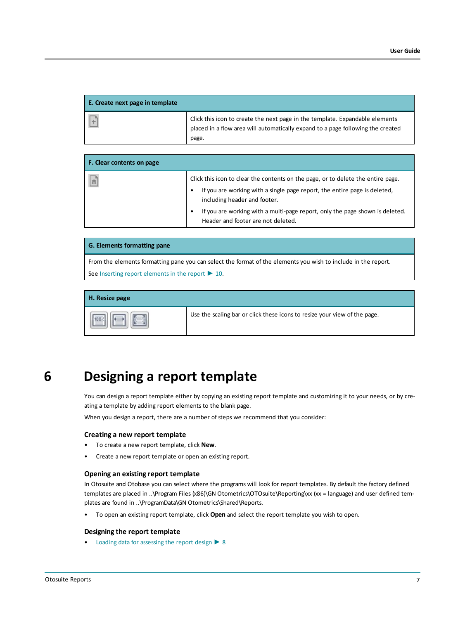| E. Create next page in template |                                                                                                                                                                          |
|---------------------------------|--------------------------------------------------------------------------------------------------------------------------------------------------------------------------|
|                                 | Click this icon to create the next page in the template. Expandable elements<br>placed in a flow area will automatically expand to a page following the created<br>page. |

| F. Clear contents on page |                                                                                                                                                                                                            |  |
|---------------------------|------------------------------------------------------------------------------------------------------------------------------------------------------------------------------------------------------------|--|
| 同                         | Click this icon to clear the contents on the page, or to delete the entire page.<br>If you are working with a single page report, the entire page is deleted,<br>$\bullet$<br>including header and footer. |  |
|                           | If you are working with a multi-page report, only the page shown is deleted.<br>٠<br>Header and footer are not deleted.                                                                                    |  |

#### **G. Elements formatting pane**

From the elements formatting pane you can select the format of the elements you wish to include in the report. See Inserting report [elements](#page-9-0) in the report  $\blacktriangleright$  10.

| H. Resize page |                                                                           |
|----------------|---------------------------------------------------------------------------|
|                | Use the scaling bar or click these icons to resize your view of the page. |

## **6 Designing a report template**

<span id="page-6-0"></span>You can design a report template either by copying an existing report template and customizing it to your needs, or by creating a template by adding report elements to the blank page.

When you design a report, there are a number of steps we recommend that you consider:

#### **Creating a new report template**

- To create a new report template, click **New**.
- Create a new report template or open an existing report.

#### **Opening an existing report template**

In Otosuite and Otobase you can select where the programs will look for report templates. By default the factory defined templates are placed in ..\Program Files (x86)\GN Otometrics\OTOsuite\Reporting\xx (xx = language) and user defined templates are found in ..\ProgramData\GN Otometrics\Shared\Reports.

• To open an existing report template, click **Open** and select the report template you wish to open.

#### **Designing the report template**

• Loading data for [assessing](#page-7-0) the report design ► 8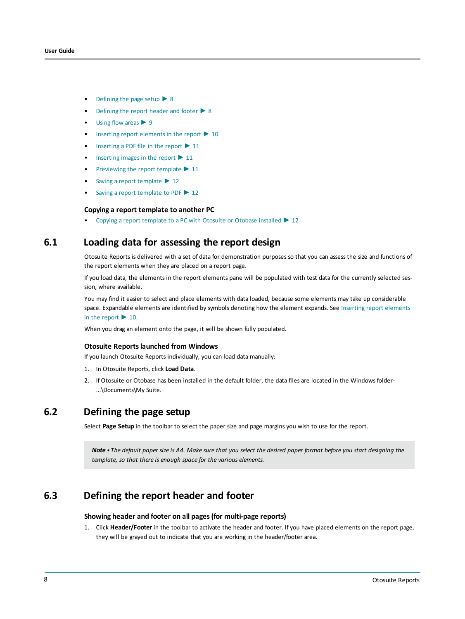- [Defining](#page-7-1) the page setup  $\triangleright$  8
- [Defining](#page-7-2) the report header and footer  $\triangleright$  8
- [Using](#page-8-0) flow areas ▶ 9
- Inserting report [elements](#page-9-0) in the report  $\blacktriangleright$  10
- [Inserting](#page-10-0) a PDF file in the report ► 11
- [Inserting](#page-10-1) images in the report ► 11
- [Previewing](#page-10-2) the report template ► 11
- Saving a report [template](#page-11-0) ► 12
- Saving a report [template](#page-11-1) to PDF ► 12

#### **Copying a report template to another PC**

<span id="page-7-0"></span>• Copying a report template to a PC [with Otosuite or Otobase installed](#page-11-2) ► 12

### **6.1 Loading data for assessing the report design**

Otosuite Reports is delivered with a set of data for demonstration purposes so that you can assess the size and functions of the report elements when they are placed on a report page.

If you load data, the elements in the report elements pane will be populated with test data for the currently selected session, where available.

You may find it easier to select and place elements with data loaded, because some elements may take up considerable space. Expandable elements are identified by symbols denoting how the element expands. See Inserting report [elements](#page-9-0) in the [report](#page-9-0)  $\blacktriangleright$  10.

When you drag an element onto the page, it will be shown fully populated.

#### **Otosuite Reportslaunched from Windows**

If you launch Otosuite Reports individually, you can load data manually:

- 1. In Otosuite Reports, click **Load Data**.
- <span id="page-7-1"></span>2. If Otosuite or Otobase has been installed in the default folder, the data files are located in the Windows folder- ...\Documents\My Suite.

### **6.2 Defining the page setup**

Select **Page Setup** in the toolbar to select the paper size and page margins you wish to use for the report.

<span id="page-7-2"></span>Note • The default paper size is A4. Make sure that you select the desired paper format before you start designing the *template, so that there is enough space for the various elements.*

### **6.3 Defining the report header and footer**

#### **Showing header and footer on all pages(for multi-page reports)**

1. Click **Header/Footer** in the toolbar to activate the header and footer. If you have placed elements on the report page, they will be grayed out to indicate that you are working in the header/footer area.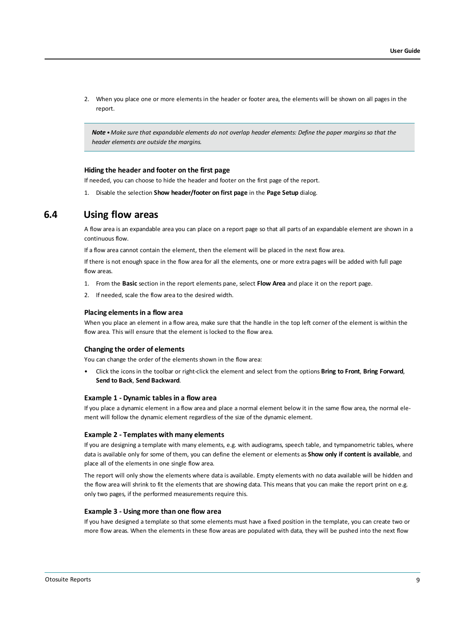2. When you place one or more elements in the header or footer area, the elements will be shown on all pages in the report.

Note • Make sure that expandable elements do not overlap header elements: Define the paper marains so that the *header elements are outside the margins.*

#### **Hiding the header and footer on the first page**

If needed, you can choose to hide the header and footer on the first page of the report.

<span id="page-8-0"></span>1. Disable the selection **Show header/footer on first page** in the **Page Setup** dialog.

### **6.4 Using flow areas**

A flow area is an expandable area you can place on a report page so that all parts of an expandable element are shown in a continuous flow.

If a flow area cannot contain the element, then the element will be placed in the next flow area.

If there is not enough space in the flow area for all the elements, one or more extra pages will be added with full page flow areas.

- 1. From the **Basic** section in the report elements pane, select **Flow Area** and place it on the report page.
- 2. If needed, scale the flow area to the desired width.

#### **Placing elementsin a flow area**

When you place an element in a flow area, make sure that the handle in the top left corner of the element is within the flow area. This will ensure that the element is locked to the flow area.

#### **Changing the order of elements**

You can change the order of the elements shown in the flow area:

• Click the icons in the toolbar or right-click the element and select from the options **Bring to Front**, **Bring Forward**, **Send to Back**, **Send Backward**.

#### **Example 1 - Dynamic tablesin a flow area**

If you place a dynamic element in a flow area and place a normal element below it in the same flow area, the normal element will follow the dynamic element regardless of the size of the dynamic element.

#### **Example 2 - Templates with many elements**

If you are designing a template with many elements, e.g. with audiograms, speech table, and tympanometric tables, where data is available only for some of them, you can define the element or elements as **Show only if content is available**, and place all of the elements in one single flow area.

The report will only show the elements where data is available. Empty elements with no data available will be hidden and the flow area will shrink to fit the elements that are showing data. This means that you can make the report print on e.g. only two pages, if the performed measurements require this.

#### **Example 3 - Using more than one flow area**

If you have designed a template so that some elements must have a fixed position in the template, you can create two or more flow areas. When the elements in these flow areas are populated with data, they will be pushed into the next flow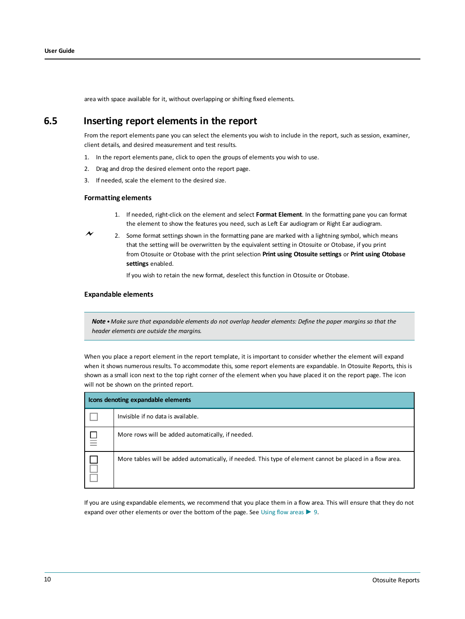<span id="page-9-0"></span>area with space available for it, without overlapping or shifting fixed elements.

### **6.5 Inserting report elements in the report**

From the report elements pane you can select the elements you wish to include in the report, such as session, examiner, client details, and desired measurement and test results.

- 1. In the report elements pane, click to open the groups of elements you wish to use.
- 2. Drag and drop the desired element onto the report page.
- 3. If needed, scale the element to the desired size.

#### **Formatting elements**

- 1. If needed, right-click on the element and select **Format Element**. In the formatting pane you can format the element to show the features you need, such as Left Ear audiogram or Right Ear audiogram.
- 2. Some format settings shown in the formatting pane are marked with a lightning symbol, which means that the setting will be overwritten by the equivalent setting in Otosuite or Otobase, if you print from Otosuite or Otobase with the print selection **Print using Otosuite settings** or **Print using Otobase settings** enabled.

If you wish to retain the new format, deselect this function in Otosuite or Otobase.

#### **Expandable elements**

Note . Make sure that expandable elements do not overlap header elements: Define the paper margins so that the *header elements are outside the margins.*

When you place a report element in the report template, it is important to consider whether the element will expand when it shows numerous results. To accommodate this, some report elements are expandable. In Otosuite Reports, this is shown as a small icon next to the top right corner of the element when you have placed it on the report page. The icon will not be shown on the printed report.

| Icons denoting expandable elements |                                                                                                           |  |  |  |  |
|------------------------------------|-----------------------------------------------------------------------------------------------------------|--|--|--|--|
|                                    | Invisible if no data is available.                                                                        |  |  |  |  |
| 믈                                  | More rows will be added automatically, if needed.                                                         |  |  |  |  |
|                                    | More tables will be added automatically, if needed. This type of element cannot be placed in a flow area. |  |  |  |  |

If you are using expandable elements, we recommend that you place them in a flow area. This will ensure that they do not expand over other elements or over the bottom of the page. See [Using](#page-8-0) flow areas  $\triangleright$  9.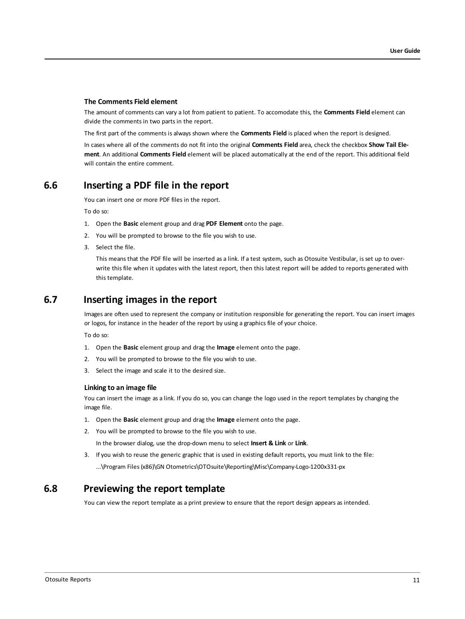#### **The Comments Field element**

The amount of comments can vary a lot from patient to patient. To accomodate this, the **Comments Field** element can divide the comments in two parts in the report.

The first part of the comments is always shown where the **Comments Field** is placed when the report is designed.

<span id="page-10-0"></span>In cases where all of the comments do not fit into the original **Comments Field** area, check the checkbox **Show Tail Element**. An additional **Comments Field** element will be placed automatically at the end of the report. This additional field will contain the entire comment.

### **6.6 Inserting a PDF file in the report**

You can insert one or more PDF files in the report.

To do so:

- 1. Open the **Basic** element group and drag **PDF Element** onto the page.
- 2. You will be prompted to browse to the file you wish to use.
- 3. Select the file.

<span id="page-10-1"></span>This means that the PDF file will be inserted as a link. If a test system, such as Otosuite Vestibular, is set up to overwrite this file when it updates with the latest report, then this latest report will be added to reports generated with this template.

### **6.7 Inserting images in the report**

Images are often used to represent the company or institution responsible for generating the report. You can insert images or logos, for instance in the header of the report by using a graphics file of your choice.

To do so:

- 1. Open the **Basic** element group and drag the **Image** element onto the page.
- 2. You will be prompted to browse to the file you wish to use.
- 3. Select the image and scale it to the desired size.

#### **Linking to an image file**

You can insert the image as a link. If you do so, you can change the logo used in the report templates by changing the image file.

- 1. Open the **Basic** element group and drag the **Image** element onto the page.
- 2. You will be prompted to browse to the file you wish to use.

In the browser dialog, use the drop-down menu to select **Insert & Link** or **Link**.

<span id="page-10-2"></span>3. If you wish to reuse the generic graphic that is used in existing default reports, you must link to the file: ...\Program Files (x86)\GN Otometrics\OTOsuite\Reporting\Misc\Company-Logo-1200x331-px

### **6.8 Previewing the report template**

You can view the report template as a print preview to ensure that the report design appears as intended.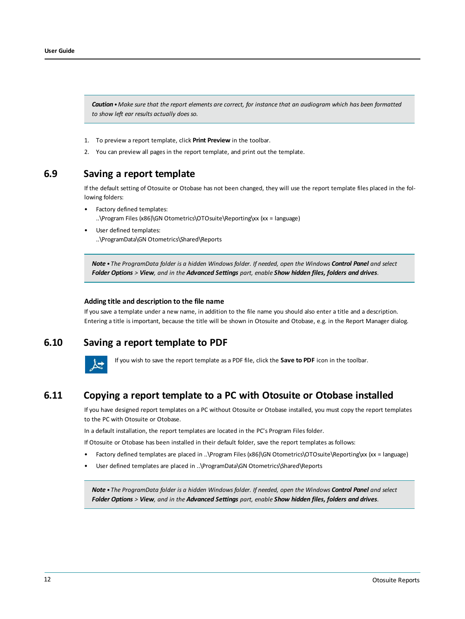Caution . Make sure that the report elements are correct, for instance that an audiogram which has been formatted *to show left ear results actually does so.*

- 1. To preview a report template, click **Print Preview** in the toolbar.
- <span id="page-11-0"></span>2. You can preview all pages in the report template, and print out the template.

### **6.9 Saving a report template**

If the default setting of Otosuite or Otobase has not been changed, they will use the report template files placed in the following folders:

- Factory defined templates: ..\Program Files (x86)\GN Otometrics\OTOsuite\Reporting\xx (xx = language)
- User defined templates: ..\ProgramData\GN Otometrics\Shared\Reports

Note . The ProgramData folder is a hidden Windows folder. If needed, open the Windows Control Panel and select Folder Options > View, and in the Advanced Settings part, enable Show hidden files, folders and drives.

#### **Adding title and description to the file name**

<span id="page-11-1"></span>If you save a template under a new name, in addition to the file name you should also enter a title and a description. Entering a title is important, because the title will be shown in Otosuite and Otobase, e.g. in the Report Manager dialog.

### **6.10 Saving a report template to PDF**

<span id="page-11-2"></span>

If you wish to save the report template as a PDF file, click the **Save to PDF** icon in the toolbar.

### **6.11 Copying a report template to a PC with Otosuite or Otobase installed**

If you have designed report templates on a PC without Otosuite or Otobase installed, you must copy the report templates to the PC with Otosuite or Otobase.

In a default installation, the report templates are located in the PC's Program Files folder.

If Otosuite or Otobase has been installed in their default folder, save the report templates as follows:

- Factory defined templates are placed in ..\Program Files (x86)\GN Otometrics\OTOsuite\Reporting\xx (xx = language)
- User defined templates are placed in ..\ProgramData\GN Otometrics\Shared\Reports

Note . The ProgramData folder is a hidden Windows folder. If needed, open the Windows Control Panel and select Folder Options > View, and in the Advanced Settings part, enable Show hidden files, folders and drives.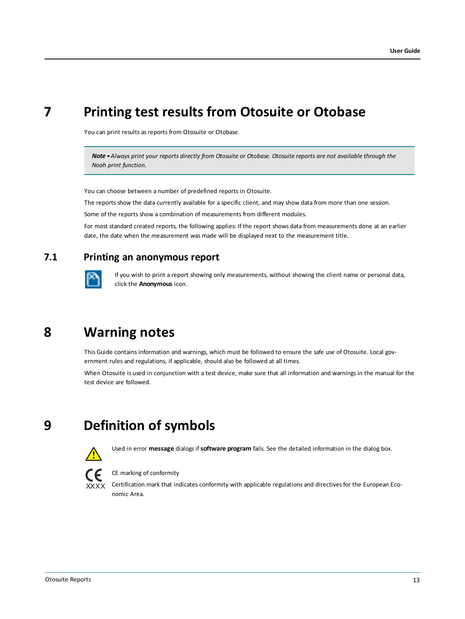## **7 Printing test results from Otosuite or Otobase**

<span id="page-12-0"></span>You can print results as reports from Otosuite or Otobase.

*Note •Always print your reports directly from Otosuite or Otobase. Otosuite reports are not available through the Noah print function.*

You can choose between a number of predefined reports in Otosuite.

The reports show the data currently available for a specific client, and may show data from more than one session.

Some of the reports show a combination of measurements from different modules.

<span id="page-12-3"></span>For most standard created reports, the following applies: If the report shows data from measurements done at an earlier date, the date when the measurement was made will be displayed next to the measurement title.

## **7.1 Printing an anonymous report**

<span id="page-12-1"></span>

If you wish to print a report showing only measurements, without showing the client name or personal data, click the **Anonymous** icon.

## **8 Warning notes**

This Guide contains information and warnings, which must be followed to ensure the safe use of Otosuite. Local government rules and regulations, if applicable, should also be followed at all times.

<span id="page-12-2"></span>When Otosuite is used in conjunction with a test device, make sure that all information and warnings in the manual for the test device are followed.

## **9 Definition of symbols**



Used in error **message** dialogs if**software program** fails. See the detailed information in the dialog box.



#### CE marking of conformity

Certification mark that indicates conformity with applicable regulations and directives for the European Economic Area.